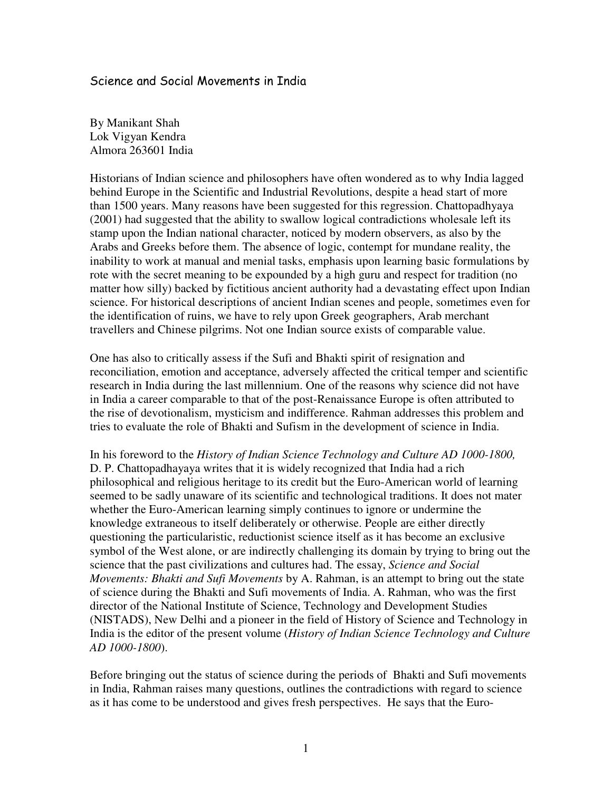### Science and Social Movements in India

By Manikant Shah Lok Vigyan Kendra Almora 263601 India

Historians of Indian science and philosophers have often wondered as to why India lagged behind Europe in the Scientific and Industrial Revolutions, despite a head start of more than 1500 years. Many reasons have been suggested for this regression. Chattopadhyaya (2001) had suggested that the ability to swallow logical contradictions wholesale left its stamp upon the Indian national character, noticed by modern observers, as also by the Arabs and Greeks before them. The absence of logic, contempt for mundane reality, the inability to work at manual and menial tasks, emphasis upon learning basic formulations by rote with the secret meaning to be expounded by a high guru and respect for tradition (no matter how silly) backed by fictitious ancient authority had a devastating effect upon Indian science. For historical descriptions of ancient Indian scenes and people, sometimes even for the identification of ruins, we have to rely upon Greek geographers, Arab merchant travellers and Chinese pilgrims. Not one Indian source exists of comparable value.

One has also to critically assess if the Sufi and Bhakti spirit of resignation and reconciliation, emotion and acceptance, adversely affected the critical temper and scientific research in India during the last millennium. One of the reasons why science did not have in India a career comparable to that of the post-Renaissance Europe is often attributed to the rise of devotionalism, mysticism and indifference. Rahman addresses this problem and tries to evaluate the role of Bhakti and Sufism in the development of science in India.

In his foreword to the *History of Indian Science Technology and Culture AD 1000-1800,* D. P. Chattopadhayaya writes that it is widely recognized that India had a rich philosophical and religious heritage to its credit but the Euro-American world of learning seemed to be sadly unaware of its scientific and technological traditions. It does not mater whether the Euro-American learning simply continues to ignore or undermine the knowledge extraneous to itself deliberately or otherwise. People are either directly questioning the particularistic, reductionist science itself as it has become an exclusive symbol of the West alone, or are indirectly challenging its domain by trying to bring out the science that the past civilizations and cultures had. The essay, *Science and Social Movements: Bhakti and Sufi Movements* by A. Rahman, is an attempt to bring out the state of science during the Bhakti and Sufi movements of India. A. Rahman, who was the first director of the National Institute of Science, Technology and Development Studies (NISTADS), New Delhi and a pioneer in the field of History of Science and Technology in India is the editor of the present volume (*History of Indian Science Technology and Culture AD 1000-1800*).

Before bringing out the status of science during the periods of Bhakti and Sufi movements in India, Rahman raises many questions, outlines the contradictions with regard to science as it has come to be understood and gives fresh perspectives. He says that the Euro-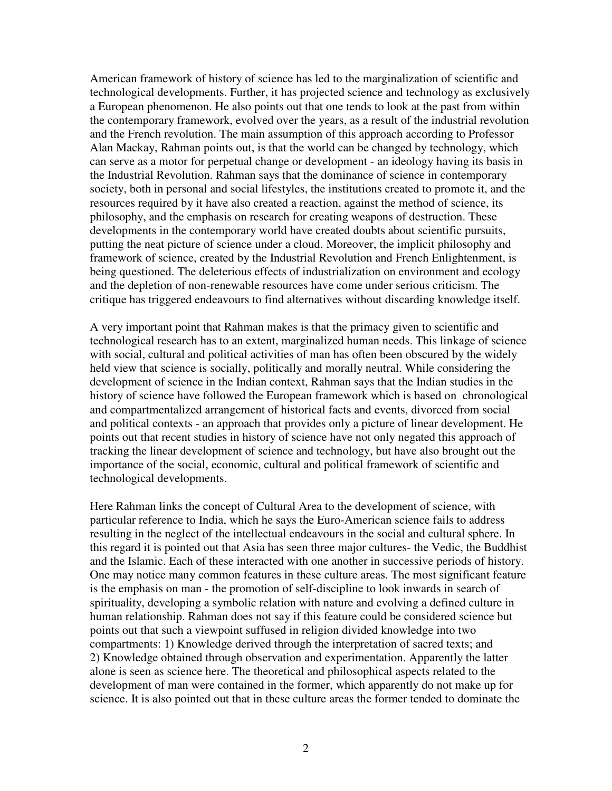American framework of history of science has led to the marginalization of scientific and technological developments. Further, it has projected science and technology as exclusively a European phenomenon. He also points out that one tends to look at the past from within the contemporary framework, evolved over the years, as a result of the industrial revolution and the French revolution. The main assumption of this approach according to Professor Alan Mackay, Rahman points out, is that the world can be changed by technology, which can serve as a motor for perpetual change or development - an ideology having its basis in the Industrial Revolution. Rahman says that the dominance of science in contemporary society, both in personal and social lifestyles, the institutions created to promote it, and the resources required by it have also created a reaction, against the method of science, its philosophy, and the emphasis on research for creating weapons of destruction. These developments in the contemporary world have created doubts about scientific pursuits, putting the neat picture of science under a cloud. Moreover, the implicit philosophy and framework of science, created by the Industrial Revolution and French Enlightenment, is being questioned. The deleterious effects of industrialization on environment and ecology and the depletion of non-renewable resources have come under serious criticism. The critique has triggered endeavours to find alternatives without discarding knowledge itself.

A very important point that Rahman makes is that the primacy given to scientific and technological research has to an extent, marginalized human needs. This linkage of science with social, cultural and political activities of man has often been obscured by the widely held view that science is socially, politically and morally neutral. While considering the development of science in the Indian context, Rahman says that the Indian studies in the history of science have followed the European framework which is based on chronological and compartmentalized arrangement of historical facts and events, divorced from social and political contexts - an approach that provides only a picture of linear development. He points out that recent studies in history of science have not only negated this approach of tracking the linear development of science and technology, but have also brought out the importance of the social, economic, cultural and political framework of scientific and technological developments.

Here Rahman links the concept of Cultural Area to the development of science, with particular reference to India, which he says the Euro-American science fails to address resulting in the neglect of the intellectual endeavours in the social and cultural sphere. In this regard it is pointed out that Asia has seen three major cultures- the Vedic, the Buddhist and the Islamic. Each of these interacted with one another in successive periods of history. One may notice many common features in these culture areas. The most significant feature is the emphasis on man - the promotion of self-discipline to look inwards in search of spirituality, developing a symbolic relation with nature and evolving a defined culture in human relationship. Rahman does not say if this feature could be considered science but points out that such a viewpoint suffused in religion divided knowledge into two compartments: 1) Knowledge derived through the interpretation of sacred texts; and 2) Knowledge obtained through observation and experimentation. Apparently the latter alone is seen as science here. The theoretical and philosophical aspects related to the development of man were contained in the former, which apparently do not make up for science. It is also pointed out that in these culture areas the former tended to dominate the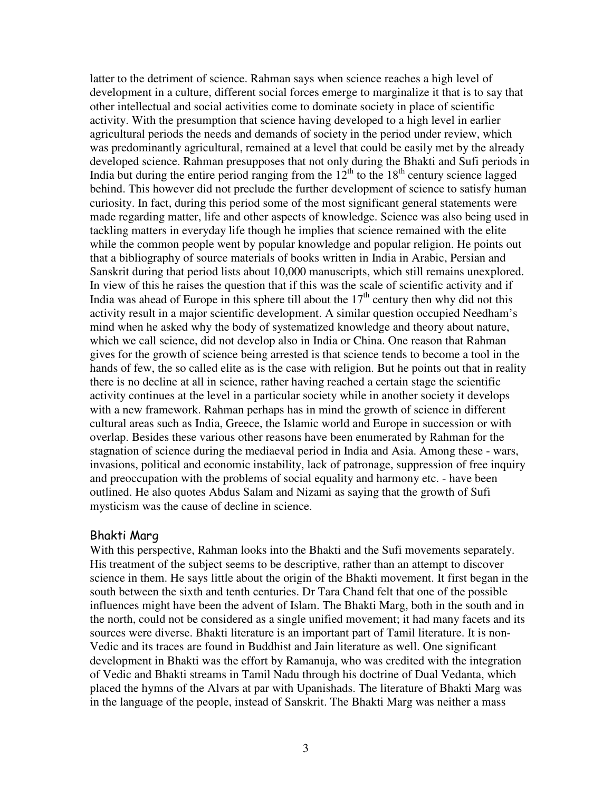latter to the detriment of science. Rahman says when science reaches a high level of development in a culture, different social forces emerge to marginalize it that is to say that other intellectual and social activities come to dominate society in place of scientific activity. With the presumption that science having developed to a high level in earlier agricultural periods the needs and demands of society in the period under review, which was predominantly agricultural, remained at a level that could be easily met by the already developed science. Rahman presupposes that not only during the Bhakti and Sufi periods in India but during the entire period ranging from the  $12<sup>th</sup>$  to the  $18<sup>th</sup>$  century science lagged behind. This however did not preclude the further development of science to satisfy human curiosity. In fact, during this period some of the most significant general statements were made regarding matter, life and other aspects of knowledge. Science was also being used in tackling matters in everyday life though he implies that science remained with the elite while the common people went by popular knowledge and popular religion. He points out that a bibliography of source materials of books written in India in Arabic, Persian and Sanskrit during that period lists about 10,000 manuscripts, which still remains unexplored. In view of this he raises the question that if this was the scale of scientific activity and if India was ahead of Europe in this sphere till about the  $17<sup>th</sup>$  century then why did not this activity result in a major scientific development. A similar question occupied Needham's mind when he asked why the body of systematized knowledge and theory about nature, which we call science, did not develop also in India or China. One reason that Rahman gives for the growth of science being arrested is that science tends to become a tool in the hands of few, the so called elite as is the case with religion. But he points out that in reality there is no decline at all in science, rather having reached a certain stage the scientific activity continues at the level in a particular society while in another society it develops with a new framework. Rahman perhaps has in mind the growth of science in different cultural areas such as India, Greece, the Islamic world and Europe in succession or with overlap. Besides these various other reasons have been enumerated by Rahman for the stagnation of science during the mediaeval period in India and Asia. Among these - wars, invasions, political and economic instability, lack of patronage, suppression of free inquiry and preoccupation with the problems of social equality and harmony etc. - have been outlined. He also quotes Abdus Salam and Nizami as saying that the growth of Sufi mysticism was the cause of decline in science.

#### Bhakti Marg

With this perspective, Rahman looks into the Bhakti and the Sufi movements separately. His treatment of the subject seems to be descriptive, rather than an attempt to discover science in them. He says little about the origin of the Bhakti movement. It first began in the south between the sixth and tenth centuries. Dr Tara Chand felt that one of the possible influences might have been the advent of Islam. The Bhakti Marg, both in the south and in the north, could not be considered as a single unified movement; it had many facets and its sources were diverse. Bhakti literature is an important part of Tamil literature. It is non-Vedic and its traces are found in Buddhist and Jain literature as well. One significant development in Bhakti was the effort by Ramanuja, who was credited with the integration of Vedic and Bhakti streams in Tamil Nadu through his doctrine of Dual Vedanta, which placed the hymns of the Alvars at par with Upanishads. The literature of Bhakti Marg was in the language of the people, instead of Sanskrit. The Bhakti Marg was neither a mass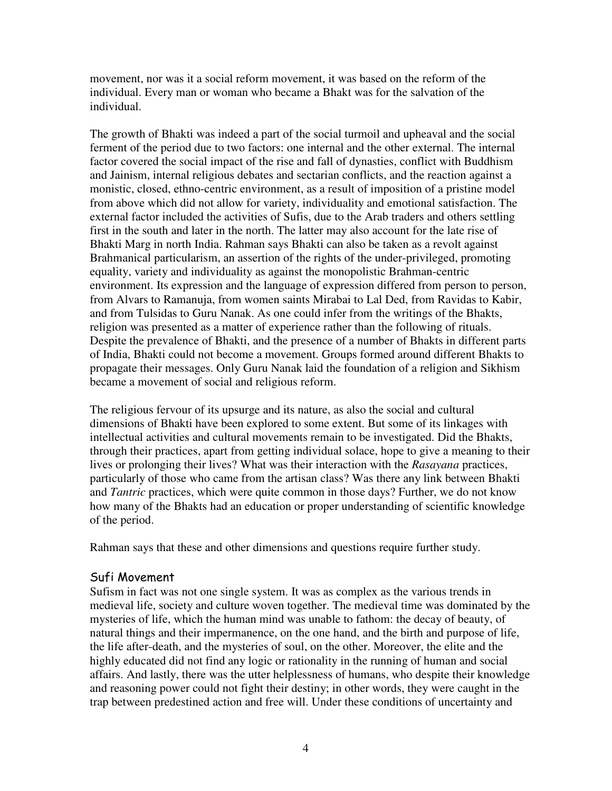movement, nor was it a social reform movement, it was based on the reform of the individual. Every man or woman who became a Bhakt was for the salvation of the individual.

The growth of Bhakti was indeed a part of the social turmoil and upheaval and the social ferment of the period due to two factors: one internal and the other external. The internal factor covered the social impact of the rise and fall of dynasties, conflict with Buddhism and Jainism, internal religious debates and sectarian conflicts, and the reaction against a monistic, closed, ethno-centric environment, as a result of imposition of a pristine model from above which did not allow for variety, individuality and emotional satisfaction. The external factor included the activities of Sufis, due to the Arab traders and others settling first in the south and later in the north. The latter may also account for the late rise of Bhakti Marg in north India. Rahman says Bhakti can also be taken as a revolt against Brahmanical particularism, an assertion of the rights of the under-privileged, promoting equality, variety and individuality as against the monopolistic Brahman-centric environment. Its expression and the language of expression differed from person to person, from Alvars to Ramanuja, from women saints Mirabai to Lal Ded, from Ravidas to Kabir, and from Tulsidas to Guru Nanak. As one could infer from the writings of the Bhakts, religion was presented as a matter of experience rather than the following of rituals. Despite the prevalence of Bhakti, and the presence of a number of Bhakts in different parts of India, Bhakti could not become a movement. Groups formed around different Bhakts to propagate their messages. Only Guru Nanak laid the foundation of a religion and Sikhism became a movement of social and religious reform.

The religious fervour of its upsurge and its nature, as also the social and cultural dimensions of Bhakti have been explored to some extent. But some of its linkages with intellectual activities and cultural movements remain to be investigated. Did the Bhakts, through their practices, apart from getting individual solace, hope to give a meaning to their lives or prolonging their lives? What was their interaction with the *Rasayana* practices, particularly of those who came from the artisan class? Was there any link between Bhakti and *Tantric* practices, which were quite common in those days? Further, we do not know how many of the Bhakts had an education or proper understanding of scientific knowledge of the period.

Rahman says that these and other dimensions and questions require further study.

# Sufi Movement

Sufism in fact was not one single system. It was as complex as the various trends in medieval life, society and culture woven together. The medieval time was dominated by the mysteries of life, which the human mind was unable to fathom: the decay of beauty, of natural things and their impermanence, on the one hand, and the birth and purpose of life, the life after-death, and the mysteries of soul, on the other. Moreover, the elite and the highly educated did not find any logic or rationality in the running of human and social affairs. And lastly, there was the utter helplessness of humans, who despite their knowledge and reasoning power could not fight their destiny; in other words, they were caught in the trap between predestined action and free will. Under these conditions of uncertainty and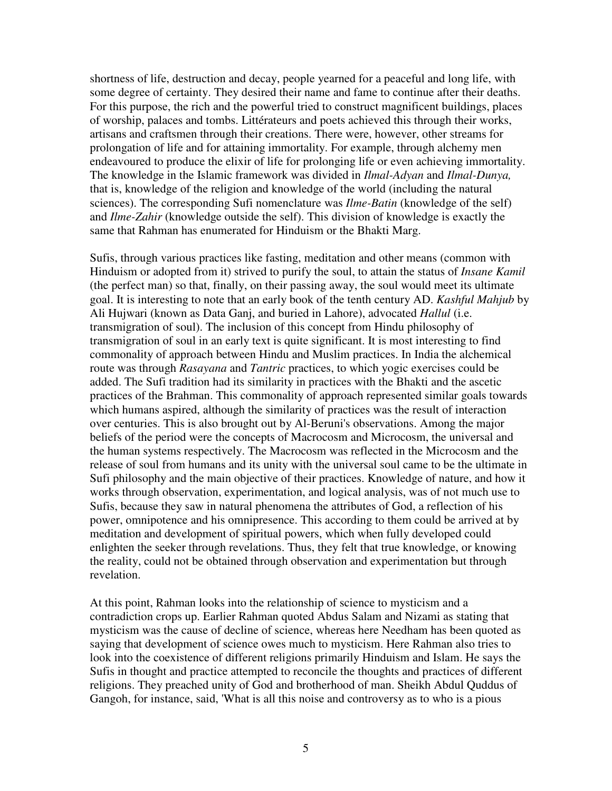shortness of life, destruction and decay, people yearned for a peaceful and long life, with some degree of certainty. They desired their name and fame to continue after their deaths. For this purpose, the rich and the powerful tried to construct magnificent buildings, places of worship, palaces and tombs. Littérateurs and poets achieved this through their works, artisans and craftsmen through their creations. There were, however, other streams for prolongation of life and for attaining immortality. For example, through alchemy men endeavoured to produce the elixir of life for prolonging life or even achieving immortality. The knowledge in the Islamic framework was divided in *Ilmal-Adyan* and *Ilmal-Dunya,* that is, knowledge of the religion and knowledge of the world (including the natural sciences). The corresponding Sufi nomenclature was *Ilme-Batin* (knowledge of the self) and *Ilme-Zahir* (knowledge outside the self). This division of knowledge is exactly the same that Rahman has enumerated for Hinduism or the Bhakti Marg.

Sufis, through various practices like fasting, meditation and other means (common with Hinduism or adopted from it) strived to purify the soul, to attain the status of *Insane Kamil* (the perfect man) so that, finally, on their passing away, the soul would meet its ultimate goal. It is interesting to note that an early book of the tenth century AD. *Kashful Mahjub* by Ali Hujwari (known as Data Ganj, and buried in Lahore), advocated *Hallul* (i.e. transmigration of soul). The inclusion of this concept from Hindu philosophy of transmigration of soul in an early text is quite significant. It is most interesting to find commonality of approach between Hindu and Muslim practices. In India the alchemical route was through *Rasayana* and *Tantric* practices, to which yogic exercises could be added. The Sufi tradition had its similarity in practices with the Bhakti and the ascetic practices of the Brahman. This commonality of approach represented similar goals towards which humans aspired, although the similarity of practices was the result of interaction over centuries. This is also brought out by Al-Beruni's observations. Among the major beliefs of the period were the concepts of Macrocosm and Microcosm, the universal and the human systems respectively. The Macrocosm was reflected in the Microcosm and the release of soul from humans and its unity with the universal soul came to be the ultimate in Sufi philosophy and the main objective of their practices. Knowledge of nature, and how it works through observation, experimentation, and logical analysis, was of not much use to Sufis, because they saw in natural phenomena the attributes of God, a reflection of his power, omnipotence and his omnipresence. This according to them could be arrived at by meditation and development of spiritual powers, which when fully developed could enlighten the seeker through revelations. Thus, they felt that true knowledge, or knowing the reality, could not be obtained through observation and experimentation but through revelation.

At this point, Rahman looks into the relationship of science to mysticism and a contradiction crops up. Earlier Rahman quoted Abdus Salam and Nizami as stating that mysticism was the cause of decline of science, whereas here Needham has been quoted as saying that development of science owes much to mysticism. Here Rahman also tries to look into the coexistence of different religions primarily Hinduism and Islam. He says the Sufis in thought and practice attempted to reconcile the thoughts and practices of different religions. They preached unity of God and brotherhood of man. Sheikh Abdul Quddus of Gangoh, for instance, said, 'What is all this noise and controversy as to who is a pious